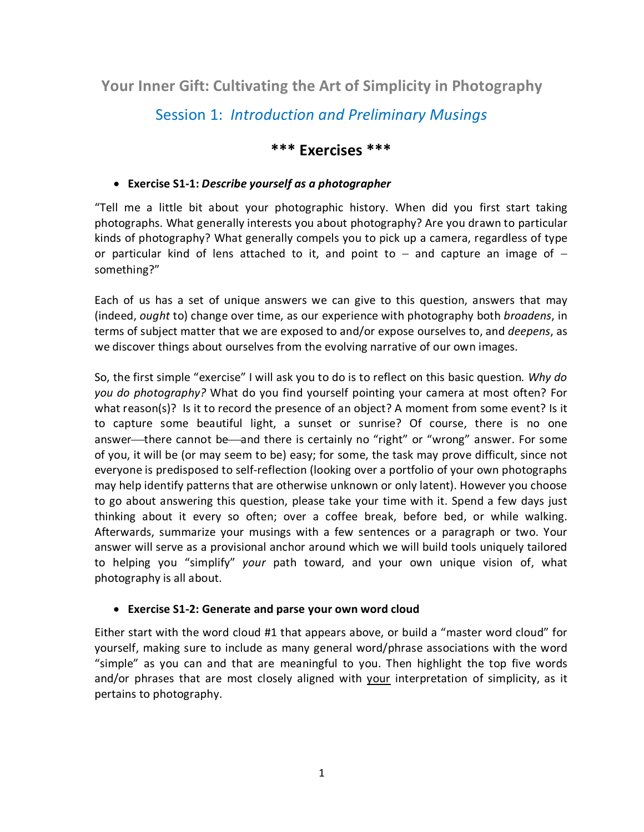**Your Inner Gift: Cultivating the Art of Simplicity in Photography**

# Session 1: *Introduction and Preliminary Musings*

## **\*\*\* Exercises \*\*\***

### • **Exercise S1-1:** *Describe yourself as a photographer*

"Tell me a little bit about your photographic history. When did you first start taking photographs. What generally interests you about photography? Are you drawn to particular kinds of photography? What generally compels you to pick up a camera, regardless of type or particular kind of lens attached to it, and point to  $-$  and capture an image of  $$ something?"

Each of us has a set of unique answers we can give to this question, answers that may (indeed, *ought* to) change over time, as our experience with photography both *broadens*, in terms of subject matter that we are exposed to and/or expose ourselves to, and *deepens*, as we discover things about ourselves from the evolving narrative of our own images.

So, the first simple "exercise" I will ask you to do is to reflect on this basic question*. Why do you do photography?* What do you find yourself pointing your camera at most often? For what reason(s)? Is it to record the presence of an object? A moment from some event? Is it to capture some beautiful light, a sunset or sunrise? Of course, there is no one answer—there cannot be—and there is certainly no "right" or "wrong" answer. For some of you, it will be (or may seem to be) easy; for some, the task may prove difficult, since not everyone is predisposed to self-reflection (looking over a portfolio of your own photographs may help identify patterns that are otherwise unknown or only latent). However you choose to go about answering this question, please take your time with it. Spend a few days just thinking about it every so often; over a coffee break, before bed, or while walking. Afterwards, summarize your musings with a few sentences or a paragraph or two. Your answer will serve as a provisional anchor around which we will build tools uniquely tailored to helping you "simplify" *your* path toward, and your own unique vision of, what photography is all about.

#### • **Exercise S1-2: Generate and parse your own word cloud**

Either start with the word cloud #1 that appears above, or build a "master word cloud" for yourself, making sure to include as many general word/phrase associations with the word "simple" as you can and that are meaningful to you. Then highlight the top five words and/or phrases that are most closely aligned with your interpretation of simplicity, as it pertains to photography.